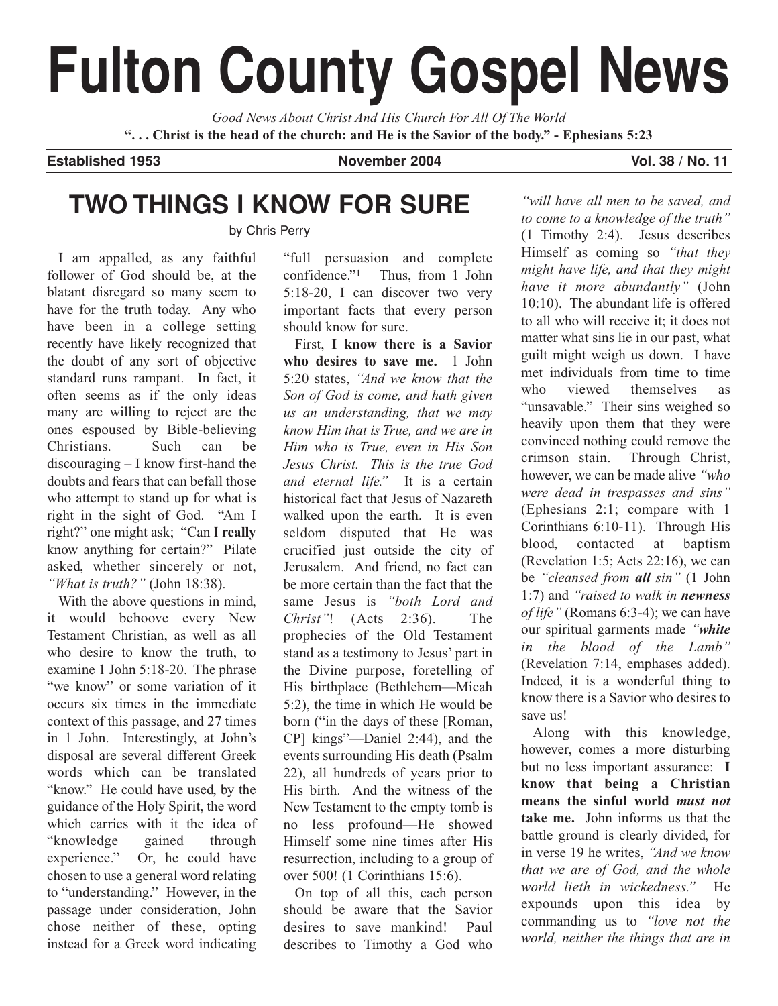# **Fulton County Gospel News**

*Good News About Christ And His Church For All Of The World* **". . . Christ is the head of the church: and He is the Savior of the body." - Ephesians 5:23**

**Established 1953 November 2004 Vol. 38 / No. 11**

# **TWO THINGS I KNOW FOR SURE**

by Chris Perry

I am appalled, as any faithful follower of God should be, at the blatant disregard so many seem to have for the truth today. Any who have been in a college setting recently have likely recognized that the doubt of any sort of objective standard runs rampant. In fact, it often seems as if the only ideas many are willing to reject are the ones espoused by Bible-believing Christians. Such can be discouraging – I know first-hand the doubts and fears that can befall those who attempt to stand up for what is right in the sight of God. "Am I right?" one might ask; "Can I **really** know anything for certain?" Pilate asked, whether sincerely or not, *"What is truth?"* (John 18:38).

With the above questions in mind, it would behoove every New Testament Christian, as well as all who desire to know the truth, to examine 1 John 5:18-20. The phrase "we know" or some variation of it occurs six times in the immediate context of this passage, and 27 times in 1 John. Interestingly, at John's disposal are several different Greek words which can be translated "know." He could have used, by the guidance of the Holy Spirit, the word which carries with it the idea of "knowledge gained through experience." Or, he could have chosen to use a general word relating to "understanding." However, in the passage under consideration, John chose neither of these, opting instead for a Greek word indicating "full persuasion and complete confidence."1 Thus, from 1 John 5:18-20, I can discover two very important facts that every person should know for sure.

First, **I know there is a Savior who desires to save me.** 1 John 5:20 states, *"And we know that the Son of God is come, and hath given us an understanding, that we may know Him that is True, and we are in Him who is True, even in His Son Jesus Christ. This is the true God and eternal life."* It is a certain historical fact that Jesus of Nazareth walked upon the earth. It is even seldom disputed that He was crucified just outside the city of Jerusalem. And friend, no fact can be more certain than the fact that the same Jesus is *"both Lord and Christ"*! (Acts 2:36). The prophecies of the Old Testament stand as a testimony to Jesus' part in the Divine purpose, foretelling of His birthplace (Bethlehem—Micah 5:2), the time in which He would be born ("in the days of these [Roman, CP] kings"—Daniel 2:44), and the events surrounding His death (Psalm 22), all hundreds of years prior to His birth. And the witness of the New Testament to the empty tomb is no less profound—He showed Himself some nine times after His resurrection, including to a group of over 500! (1 Corinthians 15:6).

On top of all this, each person should be aware that the Savior desires to save mankind! Paul describes to Timothy a God who

*"will have all men to be saved, and to come to a knowledge of the truth"* (1 Timothy 2:4). Jesus describes Himself as coming so *"that they might have life, and that they might have it more abundantly"* (John 10:10). The abundant life is offered to all who will receive it; it does not matter what sins lie in our past, what guilt might weigh us down. I have met individuals from time to time who viewed themselves as "unsavable." Their sins weighed so heavily upon them that they were convinced nothing could remove the crimson stain. Through Christ, however, we can be made alive *"who were dead in trespasses and sins"* (Ephesians 2:1; compare with 1 Corinthians 6:10-11). Through His blood, contacted at baptism (Revelation 1:5; Acts 22:16), we can be *"cleansed from all sin"* (1 John 1:7) and *"raised to walk in newness of life"* (Romans 6:3-4); we can have our spiritual garments made *"white in the blood of the Lamb"* (Revelation 7:14, emphases added). Indeed, it is a wonderful thing to know there is a Savior who desires to save us!

Along with this knowledge, however, comes a more disturbing but no less important assurance: **I know that being a Christian means the sinful world** *must not* **take me.** John informs us that the battle ground is clearly divided, for in verse 19 he writes, *"And we know that we are of God, and the whole world lieth in wickedness."* He expounds upon this idea by commanding us to *"love not the world, neither the things that are in*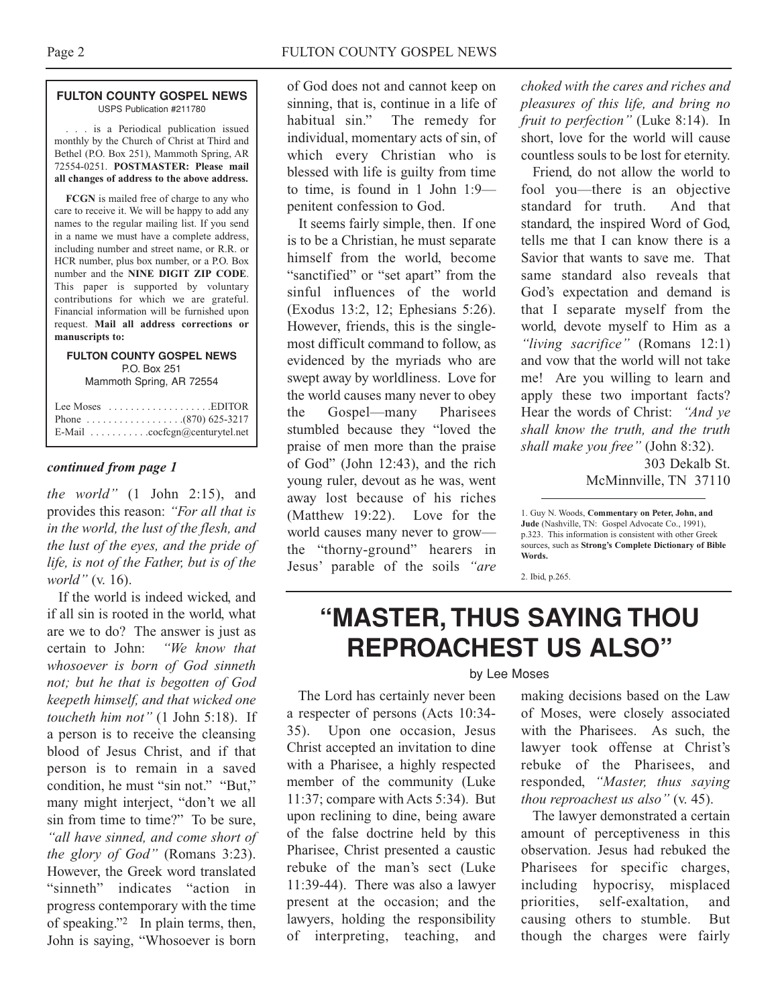#### **FULTON COUNTY GOSPEL NEWS** USPS Publication #211780

. . . is a Periodical publication issued monthly by the Church of Christ at Third and Bethel (P.O. Box 251), Mammoth Spring, AR 72554-0251. **POSTMASTER: Please mail all changes of address to the above address.**

**FCGN** is mailed free of charge to any who care to receive it. We will be happy to add any names to the regular mailing list. If you send in a name we must have a complete address, including number and street name, or R.R. or HCR number, plus box number, or a P.O. Box number and the **NINE DIGIT ZIP CODE**. This paper is supported by voluntary contributions for which we are grateful. Financial information will be furnished upon request. **Mail all address corrections or manuscripts to:**

#### **FULTON COUNTY GOSPEL NEWS** P.O. Box 251 Mammoth Spring, AR 72554

| Lee Moses $\dots \dots \dots \dots \dots$ . EDITOR          |
|-------------------------------------------------------------|
|                                                             |
| E-Mail $\ldots \ldots \ldots \ldots$ cocfcgn@centurytel.net |

#### *continued from page 1*

*the world"* (1 John 2:15), and provides this reason: *"For all that is in the world, the lust of the flesh, and the lust of the eyes, and the pride of life, is not of the Father, but is of the world"* (v. 16).

If the world is indeed wicked, and if all sin is rooted in the world, what are we to do? The answer is just as certain to John: *"We know that whosoever is born of God sinneth not; but he that is begotten of God keepeth himself, and that wicked one toucheth him not"* (1 John 5:18). If a person is to receive the cleansing blood of Jesus Christ, and if that person is to remain in a saved condition, he must "sin not." "But," many might interject, "don't we all sin from time to time?" To be sure, *"all have sinned, and come short of the glory of God"* (Romans 3:23). However, the Greek word translated "sinneth" indicates "action in progress contemporary with the time of speaking."2 In plain terms, then, John is saying, "Whosoever is born of God does not and cannot keep on sinning, that is, continue in a life of habitual sin." The remedy for individual, momentary acts of sin, of which every Christian who is blessed with life is guilty from time to time, is found in 1 John 1:9 penitent confession to God.

It seems fairly simple, then. If one is to be a Christian, he must separate himself from the world, become "sanctified" or "set apart" from the sinful influences of the world (Exodus 13:2, 12; Ephesians 5:26). However, friends, this is the singlemost difficult command to follow, as evidenced by the myriads who are swept away by worldliness. Love for the world causes many never to obey the Gospel—many Pharisees stumbled because they "loved the praise of men more than the praise of God" (John 12:43), and the rich young ruler, devout as he was, went away lost because of his riches (Matthew 19:22). Love for the world causes many never to grow the "thorny-ground" hearers in Jesus' parable of the soils *"are*

*choked with the cares and riches and pleasures of this life, and bring no fruit to perfection"* (Luke 8:14). In short, love for the world will cause countless souls to be lost for eternity.

Friend, do not allow the world to fool you—there is an objective standard for truth. And that standard, the inspired Word of God, tells me that I can know there is a Savior that wants to save me. That same standard also reveals that God's expectation and demand is that I separate myself from the world, devote myself to Him as a *"living sacrifice"* (Romans 12:1) and vow that the world will not take me! Are you willing to learn and apply these two important facts? Hear the words of Christ: *"And ye shall know the truth, and the truth shall make you free"* (John 8:32).

303 Dekalb St. McMinnville, TN 37110

1. Guy N. Woods, **Commentary on Peter, John, and Jude** (Nashville, TN: Gospel Advocate Co., 1991), p.323. This information is consistent with other Greek sources, such as **Strong's Complete Dictionary of Bible Words.**

2. Ibid, p.265.

# **"MASTER, THUS SAYING THOU REPROACHEST US ALSO"**

#### by Lee Moses

The Lord has certainly never been a respecter of persons (Acts 10:34- 35). Upon one occasion, Jesus Christ accepted an invitation to dine with a Pharisee, a highly respected member of the community (Luke 11:37; compare with Acts 5:34). But upon reclining to dine, being aware of the false doctrine held by this Pharisee, Christ presented a caustic rebuke of the man's sect (Luke 11:39-44). There was also a lawyer present at the occasion; and the lawyers, holding the responsibility of interpreting, teaching, and

making decisions based on the Law of Moses, were closely associated with the Pharisees. As such, the lawyer took offense at Christ's rebuke of the Pharisees, and responded, *"Master, thus saying thou reproachest us also"* (v. 45).

The lawyer demonstrated a certain amount of perceptiveness in this observation. Jesus had rebuked the Pharisees for specific charges, including hypocrisy, misplaced priorities, self-exaltation, and causing others to stumble. But though the charges were fairly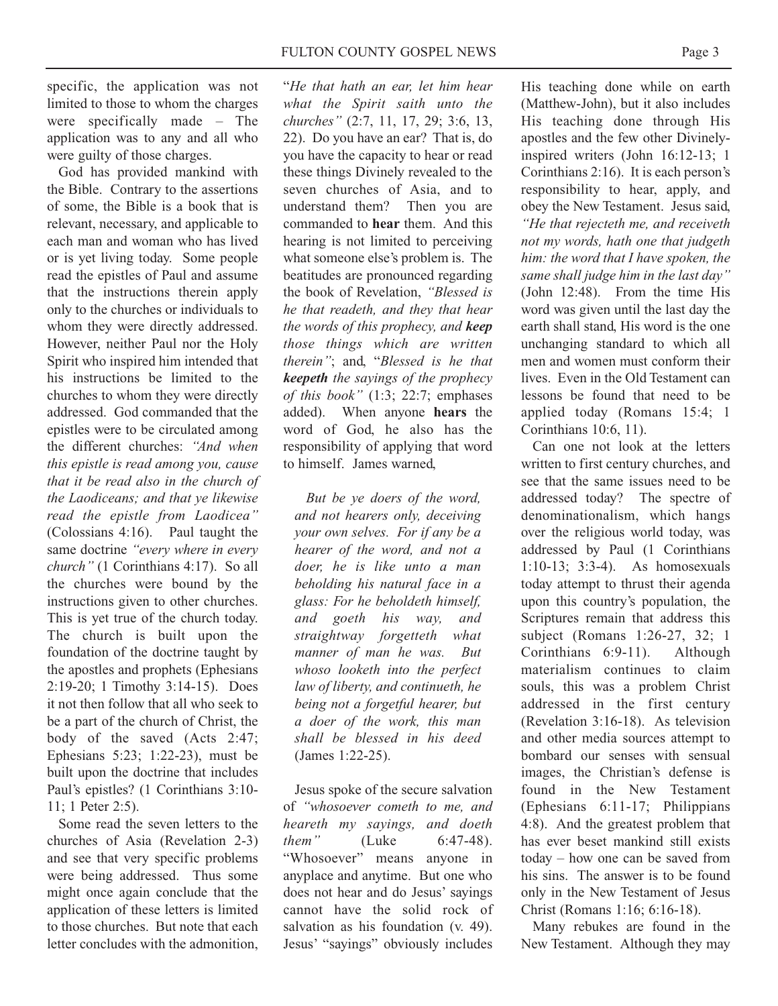specific, the application was not limited to those to whom the charges were specifically made – The application was to any and all who were guilty of those charges.

God has provided mankind with the Bible. Contrary to the assertions of some, the Bible is a book that is relevant, necessary, and applicable to each man and woman who has lived or is yet living today. Some people read the epistles of Paul and assume that the instructions therein apply only to the churches or individuals to whom they were directly addressed. However, neither Paul nor the Holy Spirit who inspired him intended that his instructions be limited to the churches to whom they were directly addressed. God commanded that the epistles were to be circulated among the different churches: *"And when this epistle is read among you, cause that it be read also in the church of the Laodiceans; and that ye likewise read the epistle from Laodicea"* (Colossians 4:16). Paul taught the same doctrine *"every where in every church"* (1 Corinthians 4:17). So all the churches were bound by the instructions given to other churches. This is yet true of the church today. The church is built upon the foundation of the doctrine taught by the apostles and prophets (Ephesians 2:19-20; 1 Timothy 3:14-15). Does it not then follow that all who seek to be a part of the church of Christ, the body of the saved (Acts 2:47; Ephesians 5:23; 1:22-23), must be built upon the doctrine that includes Paul's epistles? (1 Corinthians 3:10- 11; 1 Peter 2:5).

Some read the seven letters to the churches of Asia (Revelation 2-3) and see that very specific problems were being addressed. Thus some might once again conclude that the application of these letters is limited to those churches. But note that each letter concludes with the admonition, "*He that hath an ear, let him hear what the Spirit saith unto the churches"* (2:7, 11, 17, 29; 3:6, 13, 22). Do you have an ear? That is, do you have the capacity to hear or read these things Divinely revealed to the seven churches of Asia, and to understand them? Then you are commanded to **hear** them. And this hearing is not limited to perceiving what someone else's problem is. The beatitudes are pronounced regarding the book of Revelation, *"Blessed is he that readeth, and they that hear the words of this prophecy, and keep those things which are written therein"*; and, "*Blessed is he that keepeth the sayings of the prophecy of this book"* (1:3; 22:7; emphases added). When anyone **hears** the word of God, he also has the responsibility of applying that word to himself. James warned,

*But be ye doers of the word, and not hearers only, deceiving your own selves. For if any be a hearer of the word, and not a doer, he is like unto a man beholding his natural face in a glass: For he beholdeth himself, and goeth his way, and straightway forgetteth what manner of man he was. But whoso looketh into the perfect law of liberty, and continueth, he being not a forgetful hearer, but a doer of the work, this man shall be blessed in his deed* (James 1:22-25).

Jesus spoke of the secure salvation of *"whosoever cometh to me, and heareth my sayings, and doeth them"* (Luke 6:47-48). "Whosoever" means anyone in anyplace and anytime. But one who does not hear and do Jesus' sayings cannot have the solid rock of salvation as his foundation (v. 49). Jesus' "sayings" obviously includes

His teaching done while on earth (Matthew-John), but it also includes His teaching done through His apostles and the few other Divinelyinspired writers (John 16:12-13; 1 Corinthians 2:16). It is each person's responsibility to hear, apply, and obey the New Testament. Jesus said, *"He that rejecteth me, and receiveth not my words, hath one that judgeth him: the word that I have spoken, the same shall judge him in the last day"* (John 12:48). From the time His word was given until the last day the earth shall stand, His word is the one unchanging standard to which all men and women must conform their lives. Even in the Old Testament can lessons be found that need to be applied today (Romans 15:4; 1 Corinthians 10:6, 11).

Can one not look at the letters written to first century churches, and see that the same issues need to be addressed today? The spectre of denominationalism, which hangs over the religious world today, was addressed by Paul (1 Corinthians 1:10-13; 3:3-4). As homosexuals today attempt to thrust their agenda upon this country's population, the Scriptures remain that address this subject (Romans 1:26-27, 32; 1 Corinthians 6:9-11). Although materialism continues to claim souls, this was a problem Christ addressed in the first century (Revelation 3:16-18). As television and other media sources attempt to bombard our senses with sensual images, the Christian's defense is found in the New Testament (Ephesians 6:11-17; Philippians 4:8). And the greatest problem that has ever beset mankind still exists today – how one can be saved from his sins. The answer is to be found only in the New Testament of Jesus Christ (Romans 1:16; 6:16-18).

Many rebukes are found in the New Testament. Although they may